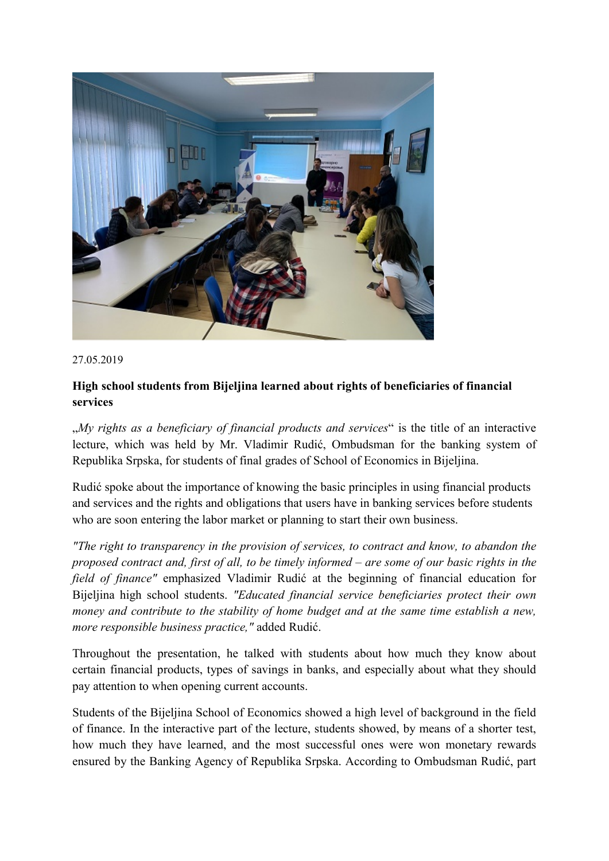

27.05.2019

## **High school students from Bijeljina learned about rights of beneficiaries of financial services**

"*My rights as a beneficiary of financial products and services*" is the title of an interactive lecture, which was held by Mr. Vladimir Rudić, Ombudsman for the banking system of Republika Srpska, for students of final grades of School of Economics in Bijeljina.

Rudić spoke about the importance of knowing the basic principles in using financial products and services and the rights and obligations that users have in banking services before students who are soon entering the labor market or planning to start their own business.

*"The right to transparency in the provision of services, to contract and know, to abandon the proposed contract and, first of all, to be timely informed – are some of our basic rights in the field of finance"* emphasized Vladimir Rudić at the beginning of financial education for Bijeljina high school students. *"Educated financial service beneficiaries protect their own money and contribute to the stability of home budget and at the same time establish a new, more responsible business practice,"* added Rudić.

Throughout the presentation, he talked with students about how much they know about certain financial products, types of savings in banks, and especially about what they should pay attention to when opening current accounts.

Students of the Bijeljina School of Economics showed a high level of background in the field of finance. In the interactive part of the lecture, students showed, by means of a shorter test, how much they have learned, and the most successful ones were won monetary rewards ensured by the Banking Agency of Republika Srpska. According to Ombudsman Rudić, part